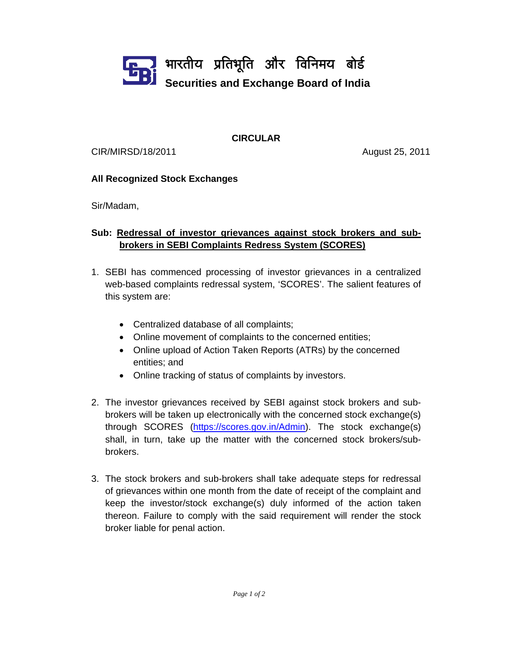

**CIRCULAR** 

CIR/MIRSD/18/2011 August 25, 2011

## **All Recognized Stock Exchanges**

Sir/Madam,

## **Sub: Redressal of investor grievances against stock brokers and subbrokers in SEBI Complaints Redress System (SCORES)**

- 1. SEBI has commenced processing of investor grievances in a centralized web-based complaints redressal system, 'SCORES'. The salient features of this system are:
	- Centralized database of all complaints;
	- Online movement of complaints to the concerned entities;
	- Online upload of Action Taken Reports (ATRs) by the concerned entities; and
	- Online tracking of status of complaints by investors.
- 2. The investor grievances received by SEBI against stock brokers and subbrokers will be taken up electronically with the concerned stock exchange(s) through SCORES (https://scores.gov.in/Admin). The stock exchange(s) shall, in turn, take up the matter with the concerned stock brokers/subbrokers.
- 3. The stock brokers and sub-brokers shall take adequate steps for redressal of grievances within one month from the date of receipt of the complaint and keep the investor/stock exchange(s) duly informed of the action taken thereon. Failure to comply with the said requirement will render the stock broker liable for penal action.